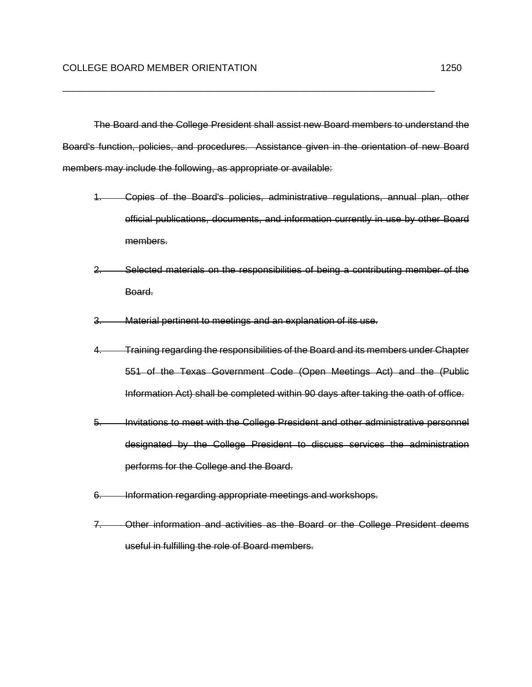The Board and the College President shall assist new Board members to understand the Board's function, policies, and procedures. Assistance given in the orientation of new Board members may include the following, as appropriate or available:

\_\_\_\_\_\_\_\_\_\_\_\_\_\_\_\_\_\_\_\_\_\_\_\_\_\_\_\_\_\_\_\_\_\_\_\_\_\_\_\_\_\_\_\_\_\_\_\_\_\_\_\_\_\_\_\_\_\_\_\_\_\_\_\_\_\_\_\_\_\_

- 1. Copies of the Board's policies, administrative regulations, annual plan, other official publications, documents, and information currently in use by other Board members.
- 2. Selected materials on the responsibilities of being a contributing member of the Board.
- 3. Material pertinent to meetings and an explanation of its use.
- 4. Training regarding the responsibilities of the Board and its members under Chapter 551 of the Texas Government Code (Open Meetings Act) and the (Public Information Act) shall be completed within 90 days after taking the oath of office.
- 5. Invitations to meet with the College President and other administrative personnel designated by the College President to discuss services the administration performs for the College and the Board.
- 6. Information regarding appropriate meetings and workshops.
- 7. Other information and activities as the Board or the College President deems useful in fulfilling the role of Board members.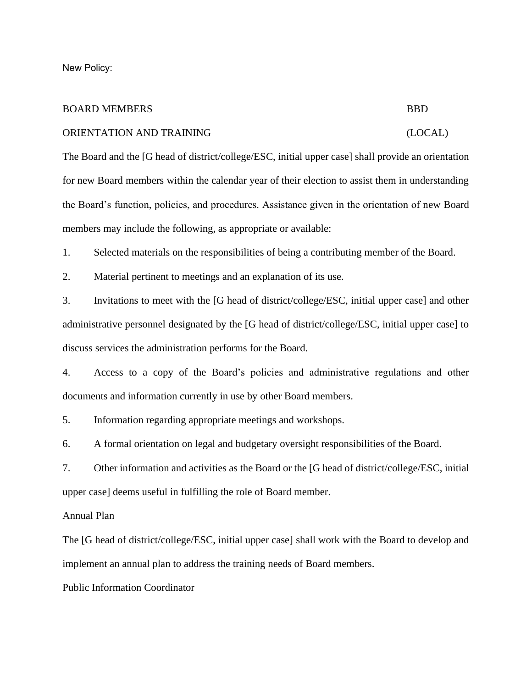New Policy:

# BOARD MEMBERS BBD

### ORIENTATION AND TRAINING (LOCAL)

The Board and the [G head of district/college/ESC, initial upper case] shall provide an orientation for new Board members within the calendar year of their election to assist them in understanding the Board's function, policies, and procedures. Assistance given in the orientation of new Board members may include the following, as appropriate or available:

1. Selected materials on the responsibilities of being a contributing member of the Board.

2. Material pertinent to meetings and an explanation of its use.

3. Invitations to meet with the [G head of district/college/ESC, initial upper case] and other administrative personnel designated by the [G head of district/college/ESC, initial upper case] to discuss services the administration performs for the Board.

4. Access to a copy of the Board's policies and administrative regulations and other documents and information currently in use by other Board members.

5. Information regarding appropriate meetings and workshops.

6. A formal orientation on legal and budgetary oversight responsibilities of the Board.

7. Other information and activities as the Board or the [G head of district/college/ESC, initial upper case] deems useful in fulfilling the role of Board member.

Annual Plan

The [G head of district/college/ESC, initial upper case] shall work with the Board to develop and implement an annual plan to address the training needs of Board members.

Public Information Coordinator